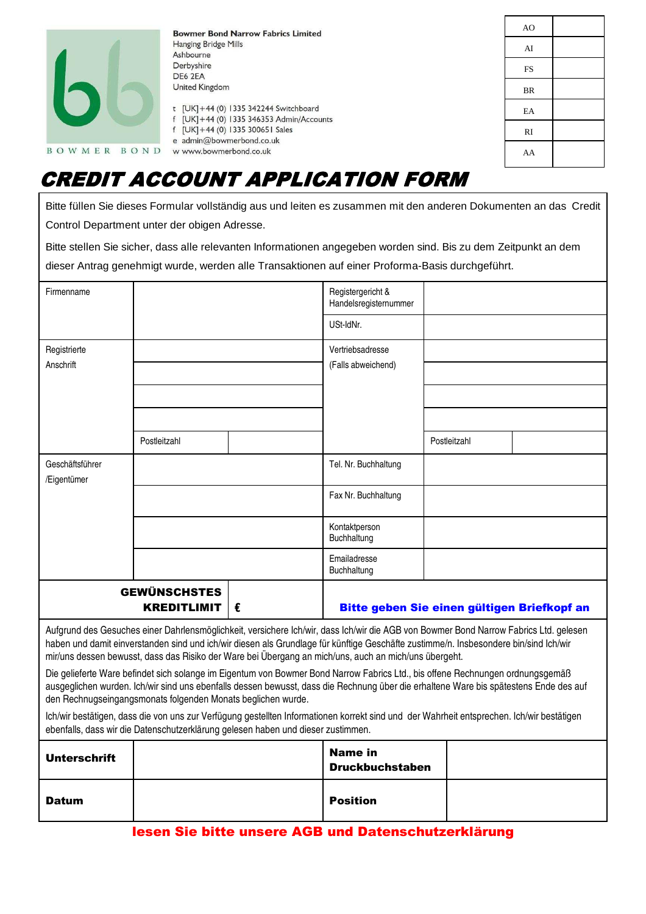| <b>Bowmer Bond Narrow Fabrics Limited</b><br>Hanging Bridge Mills |                                                                                                                                                                                                            | AO.       |  |
|-------------------------------------------------------------------|------------------------------------------------------------------------------------------------------------------------------------------------------------------------------------------------------------|-----------|--|
|                                                                   | Ashbourne<br>Derbyshire<br>DE6 2EA<br>United Kingdom<br>t [UK] +44 (0) 1335 342244 Switchboard<br>f [UK] +44 (0) 1335 346353 Admin/Accounts<br>f [UK]+44 (0) 1335 300651 Sales<br>e admin@bowmerbond.co.uk | AI        |  |
|                                                                   |                                                                                                                                                                                                            | FS        |  |
|                                                                   |                                                                                                                                                                                                            | <b>BR</b> |  |
|                                                                   |                                                                                                                                                                                                            | EA        |  |
|                                                                   |                                                                                                                                                                                                            | RI        |  |
| <b>BOWMER</b><br>BOND                                             | w www.bowmerbond.co.uk                                                                                                                                                                                     | AA        |  |

# CREDIT ACCOUNT APPLICATION FORM

Bitte füllen Sie dieses Formular vollständig aus und leiten es zusammen mit den anderen Dokumenten an das Credit Control Department unter der obigen Adresse.

Bitte stellen Sie sicher, dass alle relevanten Informationen angegeben worden sind. Bis zu dem Zeitpunkt an dem dieser Antrag genehmigt wurde, werden alle Transaktionen auf einer Proforma-Basis durchgeführt.

| Firmenname                                                                                                                                                                                                                                                                                                                                                                             |              | Registergericht &<br>Handelsregisternummer |                                             |              |  |
|----------------------------------------------------------------------------------------------------------------------------------------------------------------------------------------------------------------------------------------------------------------------------------------------------------------------------------------------------------------------------------------|--------------|--------------------------------------------|---------------------------------------------|--------------|--|
|                                                                                                                                                                                                                                                                                                                                                                                        |              | USt-IdNr.                                  |                                             |              |  |
| Registrierte                                                                                                                                                                                                                                                                                                                                                                           |              |                                            | Vertriebsadresse                            |              |  |
| Anschrift                                                                                                                                                                                                                                                                                                                                                                              |              |                                            | (Falls abweichend)                          |              |  |
|                                                                                                                                                                                                                                                                                                                                                                                        |              |                                            |                                             |              |  |
|                                                                                                                                                                                                                                                                                                                                                                                        |              |                                            |                                             |              |  |
|                                                                                                                                                                                                                                                                                                                                                                                        | Postleitzahl |                                            |                                             | Postleitzahl |  |
| Geschäftsführer<br>/Eigentümer                                                                                                                                                                                                                                                                                                                                                         |              |                                            | Tel. Nr. Buchhaltung                        |              |  |
|                                                                                                                                                                                                                                                                                                                                                                                        |              |                                            | Fax Nr. Buchhaltung                         |              |  |
|                                                                                                                                                                                                                                                                                                                                                                                        |              |                                            | Kontaktperson<br>Buchhaltung                |              |  |
|                                                                                                                                                                                                                                                                                                                                                                                        |              |                                            | Emailadresse<br>Buchhaltung                 |              |  |
| <b>GEWÜNSCHSTES</b><br><b>KREDITLIMIT</b><br>€                                                                                                                                                                                                                                                                                                                                         |              |                                            | Bitte geben Sie einen gültigen Briefkopf an |              |  |
| Aufgrund des Gesuches einer Dahrlensmöglichkeit, versichere Ich/wir, dass Ich/wir die AGB von Bowmer Bond Narrow Fabrics Ltd. gelesen<br>haben und damit einverstanden sind und ich/wir diesen als Grundlage für künftige Geschäfte zustimme/n. Insbesondere bin/sind Ich/wir<br>mir/uns dessen bewusst, dass das Risiko der Ware bei Übergang an mich/uns, auch an mich/uns übergeht. |              |                                            |                                             |              |  |
| Die gelieferte Ware befindet sich solange im Eigentum von Bowmer Bond Narrow Fabrics Ltd., bis offene Rechnungen ordnungsgemäß<br>ausgeglichen wurden. Ich/wir sind uns ebenfalls dessen bewusst, dass die Rechnung über die erhaltene Ware bis spätestens Ende des auf<br>den Rechnugseingangsmonats folgenden Monats beglichen wurde.                                                |              |                                            |                                             |              |  |
| Ich/wir bestätigen, dass die von uns zur Verfügung gestellten Informationen korrekt sind und der Wahrheit entsprechen. Ich/wir bestätigen<br>ebenfalls, dass wir die Datenschutzerklärung gelesen haben und dieser zustimmen.                                                                                                                                                          |              |                                            |                                             |              |  |
|                                                                                                                                                                                                                                                                                                                                                                                        |              |                                            |                                             |              |  |

| <b>Unterschrift</b> | <b>Name in</b><br><b>Druckbuchstaben</b> |  |
|---------------------|------------------------------------------|--|
| <b>Datum</b>        | <b>Position</b>                          |  |

# lesen Sie bitte unsere AGB und Datenschutzerklärung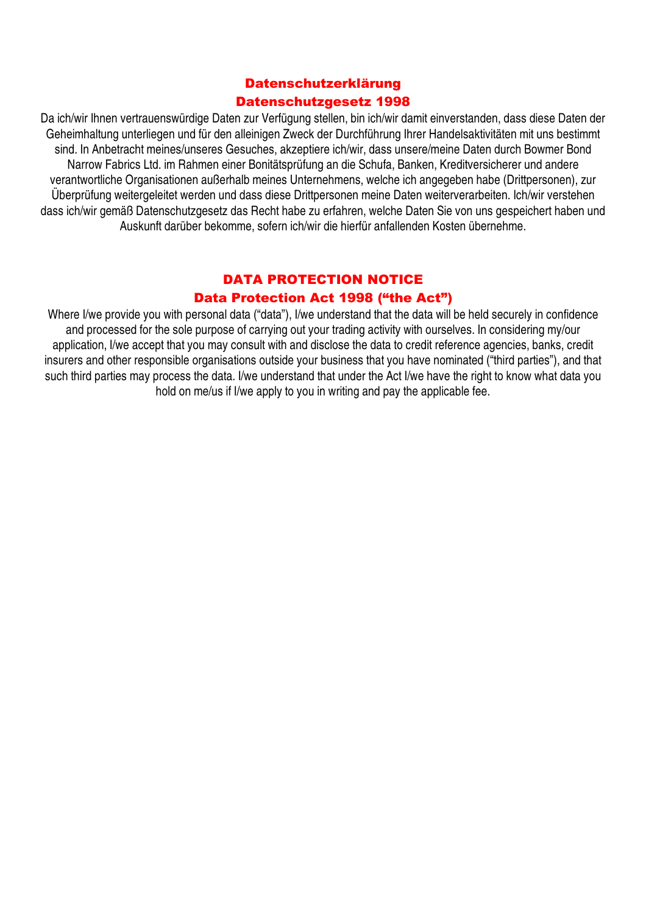# Datenschutzerklärung Datenschutzgesetz 1998

Da ich/wir Ihnen vertrauenswürdige Daten zur Verfügung stellen, bin ich/wir damit einverstanden, dass diese Daten der Geheimhaltung unterliegen und für den alleinigen Zweck der Durchführung Ihrer Handelsaktivitäten mit uns bestimmt sind. In Anbetracht meines/unseres Gesuches, akzeptiere ich/wir, dass unsere/meine Daten durch Bowmer Bond Narrow Fabrics Ltd. im Rahmen einer Bonitätsprüfung an die Schufa, Banken, Kreditversicherer und andere verantwortliche Organisationen außerhalb meines Unternehmens, welche ich angegeben habe (Drittpersonen), zur Überprüfung weitergeleitet werden und dass diese Drittpersonen meine Daten weiterverarbeiten. Ich/wir verstehen dass ich/wir gemäß Datenschutzgesetz das Recht habe zu erfahren, welche Daten Sie von uns gespeichert haben und Auskunft darüber bekomme, sofern ich/wir die hierfür anfallenden Kosten übernehme.

# DATA PROTECTION NOTICE Data Protection Act 1998 ("the Act")

Where I/we provide you with personal data ("data"), I/we understand that the data will be held securely in confidence and processed for the sole purpose of carrying out your trading activity with ourselves. In considering my/our application, I/we accept that you may consult with and disclose the data to credit reference agencies, banks, credit insurers and other responsible organisations outside your business that you have nominated ("third parties"), and that such third parties may process the data. I/we understand that under the Act I/we have the right to know what data you hold on me/us if I/we apply to you in writing and pay the applicable fee.